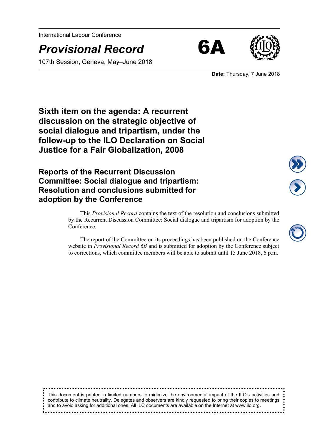International Labour Conference

*Provisional Record* 6A

107th Session, Geneva, May–June 2018





**Date:** Thursday, 7 June 2018

**Sixth item on the agenda: A recurrent discussion on the strategic objective of social dialogue and tripartism, under the follow-up to the ILO Declaration on Social Justice for a Fair Globalization, 2008**

**Reports of the Recurrent Discussion Committee: Social dialogue and tripartism: Resolution and conclusions submitted for adoption by the Conference**

> This *Provisional Record* contains the text of the resolution and conclusions submitted by the Recurrent Discussion Committee: Social dialogue and tripartism for adoption by the Conference.

> The report of the Committee on its proceedings has been published on the Conference website in *Provisional Record 6B* and is submitted for adoption by the Conference subject to corrections, which committee members will be able to submit until 15 June 2018, 6 p.m.

This document is printed in limited numbers to minimize the environmental impact of the ILO's activities and contribute to climate neutrality. Delegates and observers are kindly requested to bring their copies to meetings and to avoid asking for additional ones. All ILC documents are available on the Internet at www.ilo.org.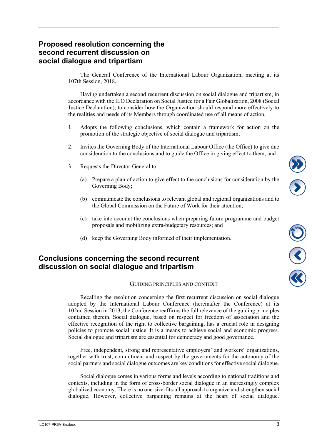# **Proposed resolution concerning the second recurrent discussion on social dialogue and tripartism**

The General Conference of the International Labour Organization, meeting at its 107th Session, 2018,

Having undertaken a second recurrent discussion on social dialogue and tripartism, in accordance with the ILO Declaration on Social Justice for a Fair Globalization, 2008 (Social Justice Declaration), to consider how the Organization should respond more effectively to the realities and needs of its Members through coordinated use of all means of action,

- 1. Adopts the following conclusions, which contain a framework for action on the promotion of the strategic objective of social dialogue and tripartism;
- 2. Invites the Governing Body of the International Labour Office (the Office) to give due consideration to the conclusions and to guide the Office in giving effect to them; and
- 3. Requests the Director-General to:
	- (a) Prepare a plan of action to give effect to the conclusions for consideration by the Governing Body;
	- (b) communicate the conclusions to relevant global and regional organizations and to the Global Commission on the Future of Work for their attention;
	- (c) take into account the conclusions when preparing future programme and budget proposals and mobilizing extra-budgetary resources; and
	- (d) keep the Governing Body informed of their implementation.

## **Conclusions concerning the second recurrent discussion on social dialogue and tripartism**

#### GUIDING PRINCIPLES AND CONTEXT

Recalling the resolution concerning the first recurrent discussion on social dialogue adopted by the International Labour Conference (hereinafter the Conference) at its 102nd Session in 2013, the Conference reaffirms the full relevance of the guiding principles contained therein. Social dialogue, based on respect for freedom of association and the effective recognition of the right to collective bargaining, has a crucial role in designing policies to promote social justice. It is a means to achieve social and economic progress. Social dialogue and tripartism are essential for democracy and good governance.

Free, independent, strong and representative employers' and workers' organizations, together with trust, commitment and respect by the governments for the autonomy of the social partners and social dialogue outcomes are key conditions for effective social dialogue.

Social dialogue comes in various forms and levels according to national traditions and contexts, including in the form of cross-border social dialogue in an increasingly complex globalized economy. There is no one-size-fits-all approach to organize and strengthen social dialogue. However, collective bargaining remains at the heart of social dialogue. J<br>S

 $\frac{1}{3}$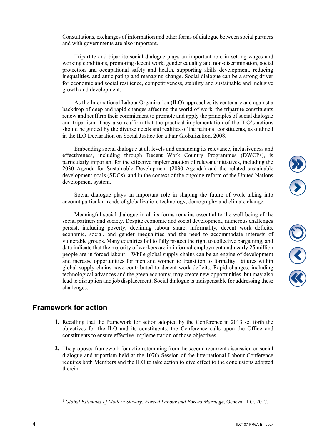Consultations, exchanges of information and other forms of dialogue between social partners and with governments are also important.

Tripartite and bipartite social dialogue plays an important role in setting wages and working conditions, promoting decent work, gender equality and non-discrimination, social protection and occupational safety and health, supporting skills development, reducing inequalities, and anticipating and managing change. Social dialogue can be a strong driver for economic and social resilience, competitiveness, stability and sustainable and inclusive growth and development.

As the International Labour Organization (ILO) approaches its centenary and against a backdrop of deep and rapid changes affecting the world of work, the tripartite constituents renew and reaffirm their commitment to promote and apply the principles of social dialogue and tripartism. They also reaffirm that the practical implementation of the ILO's actions should be guided by the diverse needs and realities of the national constituents, as outlined in the ILO Declaration on Social Justice for a Fair Globalization, 2008.

Embedding social dialogue at all levels and enhancing its relevance, inclusiveness and effectiveness, including through Decent Work Country Programmes (DWCPs), is particularly important for the effective implementation of relevant initiatives, including the 2030 Agenda for Sustainable Development (2030 Agenda) and the related sustainable development goals (SDGs), and in the context of the ongoing reform of the United Nations development system.

Social dialogue plays an important role in shaping the future of work taking into account particular trends of globalization, technology, demography and climate change.

Meaningful social dialogue in all its forms remains essential to the well-being of the social partners and society. Despite economic and social development, numerous challenges persist, including poverty, declining labour share, informality, decent work deficits, economic, social, and gender inequalities and the need to accommodate interests of vulnerable groups. Many countries fail to fully protect the right to collective bargaining, and data indicate that the majority of workers are in informal employment and nearly 25 million people are in forced labour. <sup>1</sup> While global supply chains can be an engine of development and increase opportunities for men and women to transition to formality, failures within global supply chains have contributed to decent work deficits. Rapid changes, including technological advances and the green economy, may create new opportunities, but may also lead to disruption and job displacement. Social dialogue is indispensable for addressing these challenges.

### **Framework for action**

- **1.** Recalling that the framework for action adopted by the Conference in 2013 set forth the objectives for the ILO and its constituents, the Conference calls upon the Office and constituents to ensure effective implementation of those objectives.
- **2.** The proposed framework for action stemming from the second recurrent discussion on social dialogue and tripartism held at the 107th Session of the International Labour Conference requires both Members and the ILO to take action to give effect to the conclusions adopted therein.

<sup>1</sup> *Global Estimates of Modern Slavery: Forced Labour and Forced Marriage*, Geneva, ILO, 2017.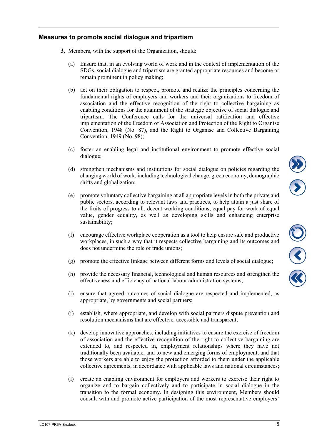### **Measures to promote social dialogue and tripartism**

- **3.** Members, with the support of the Organization, should:
	- (a) Ensure that, in an evolving world of work and in the context of implementation of the SDGs, social dialogue and tripartism are granted appropriate resources and become or remain prominent in policy making;
	- (b) act on their obligation to respect, promote and realize the principles concerning the fundamental rights of employers and workers and their organizations to freedom of association and the effective recognition of the right to collective bargaining as enabling conditions for the attainment of the strategic objective of social dialogue and tripartism. The Conference calls for the universal ratification and effective implementation of the Freedom of Association and Protection of the Right to Organise Convention, 1948 (No. 87), and the Right to Organise and Collective Bargaining Convention, 1949 (No. 98);
	- (c) foster an enabling legal and institutional environment to promote effective social dialogue;
	- (d) strengthen mechanisms and institutions for social dialogue on policies regarding the changing world of work, including technological change, green economy, demographic shifts and globalization;
	- (e) promote voluntary collective bargaining at all appropriate levels in both the private and public sectors, according to relevant laws and practices, to help attain a just share of the fruits of progress to all, decent working conditions, equal pay for work of equal value, gender equality, as well as developing skills and enhancing enterprise sustainability;
	- (f) encourage effective workplace cooperation as a tool to help ensure safe and productive workplaces, in such a way that it respects collective bargaining and its outcomes and does not undermine the role of trade unions;
	- (g) promote the effective linkage between different forms and levels of social dialogue;
	- (h) provide the necessary financial, technological and human resources and strengthen the effectiveness and efficiency of national labour administration systems;
	- (i) ensure that agreed outcomes of social dialogue are respected and implemented, as appropriate, by governments and social partners;
	- (j) establish, where appropriate, and develop with social partners dispute prevention and resolution mechanisms that are effective, accessible and transparent;
	- (k) develop innovative approaches, including initiatives to ensure the exercise of freedom of association and the effective recognition of the right to collective bargaining are extended to, and respected in, employment relationships where they have not traditionally been available, and to new and emerging forms of employment, and that those workers are able to enjoy the protection afforded to them under the applicable collective agreements, in accordance with applicable laws and national circumstances;
	- (l) create an enabling environment for employers and workers to exercise their right to organize and to bargain collectively and to participate in social dialogue in the transition to the formal economy. In designing this environment, Members should consult with and promote active participation of the most representative employers'

 $\frac{1}{\mathcal{C}}$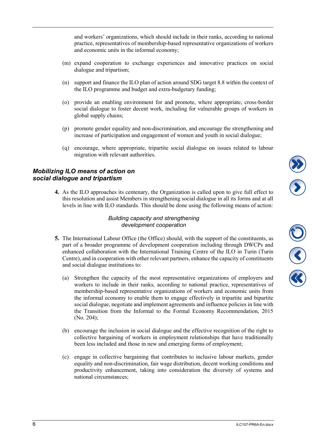and workers' organizations, which should include in their ranks, according to national practice, representatives of membership-based representative organizations of workers and economic units in the informal economy;

- (m) expand cooperation to exchange experiences and innovative practices on social dialogue and tripartism;
- (n) support and finance the ILO plan of action around SDG target 8.8 within the context of the ILO programme and budget and extra-budgetary funding;
- (o) provide an enabling environment for and promote, where appropriate, cross-border social dialogue to foster decent work, including for vulnerable groups of workers in global supply chains;
- (p) promote gender equality and non-discrimination, and encourage the strengthening and increase of participation and engagement of women and youth in social dialogue;
- (q) encourage, where appropriate, tripartite social dialogue on issues related to labour migration with relevant authorities.

### *Mobilizing ILO means of action on social dialogue and tripartism*

**4.** As the ILO approaches its centenary, the Organization is called upon to give full effect to this resolution and assist Members in strengthening social dialogue in all its forms and at all levels in line with ILO standards. This should be done using the following means of action:

#### *Building capacity and strengthening development cooperation*

- **5.** The International Labour Office (the Office) should, with the support of the constituents, as part of a broader programme of development cooperation including through DWCPs and enhanced collaboration with the International Training Centre of the ILO in Turin (Turin Centre), and in cooperation with other relevant partners, enhance the capacity of constituents and social dialogue institutions to:
	- (a) Strengthen the capacity of the most representative organizations of employers and workers to include in their ranks, according to national practice, representatives of membership-based representative organizations of workers and economic units from the informal economy to enable them to engage effectively in tripartite and bipartite social dialogue, negotiate and implement agreements and influence policies in line with the Transition from the Informal to the Formal Economy Recommendation, 2015 (No. 204);
	- (b) encourage the inclusion in social dialogue and the effective recognition of the right to collective bargaining of workers in employment relationships that have traditionally been less included and those in new and emerging forms of employment;
	- (c) engage in collective bargaining that contributes to inclusive labour markets, gender equality and non-discrimination, fair wage distribution, decent working conditions and productivity enhancement, taking into consideration the diversity of systems and national circumstances;

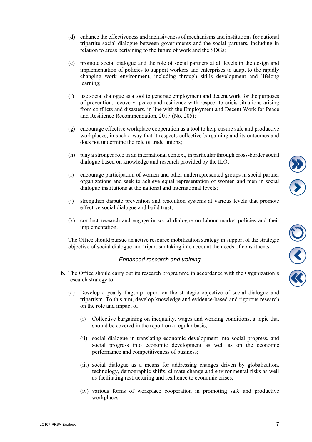- (d) enhance the effectiveness and inclusiveness of mechanisms and institutions for national tripartite social dialogue between governments and the social partners, including in relation to areas pertaining to the future of work and the SDGs;
- (e) promote social dialogue and the role of social partners at all levels in the design and implementation of policies to support workers and enterprises to adapt to the rapidly changing work environment, including through skills development and lifelong learning;
- (f) use social dialogue as a tool to generate employment and decent work for the purposes of prevention, recovery, peace and resilience with respect to crisis situations arising from conflicts and disasters, in line with the Employment and Decent Work for Peace and Resilience Recommendation, 2017 (No. 205);
- (g) encourage effective workplace cooperation as a tool to help ensure safe and productive workplaces, in such a way that it respects collective bargaining and its outcomes and does not undermine the role of trade unions;
- (h) play a stronger role in an international context, in particular through cross-border social dialogue based on knowledge and research provided by the ILO;
- (i) encourage participation of women and other underrepresented groups in social partner organizations and seek to achieve equal representation of women and men in social dialogue institutions at the national and international levels;
- (j) strengthen dispute prevention and resolution systems at various levels that promote effective social dialogue and build trust;
- (k) conduct research and engage in social dialogue on labour market policies and their implementation.

The Office should pursue an active resource mobilization strategy in support of the strategic objective of social dialogue and tripartism taking into account the needs of constituents.

#### *Enhanced research and training*

- **6.** The Office should carry out its research programme in accordance with the Organization's research strategy to:
	- (a) Develop a yearly flagship report on the strategic objective of social dialogue and tripartism. To this aim, develop knowledge and evidence-based and rigorous research on the role and impact of:
		- (i) Collective bargaining on inequality, wages and working conditions, a topic that should be covered in the report on a regular basis;
		- (ii) social dialogue in translating economic development into social progress, and social progress into economic development as well as on the economic performance and competitiveness of business;
		- (iii) social dialogue as a means for addressing changes driven by globalization, technology, demographic shifts, climate change and environmental risks as well as facilitating restructuring and resilience to economic crises;
		- (iv) various forms of workplace cooperation in promoting safe and productive workplaces.

ES C

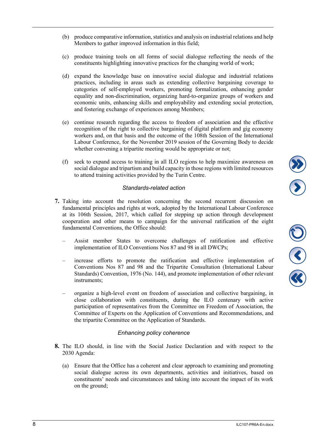- implementation of ILO Conventions Nos 87 and 98 in all DWCPs;
- increase efforts to promote the ratification and effective implementation of Conventions Nos 87 and 98 and the Tripartite Consultation (International Labour Standards) Convention, 1976 (No. 144), and promote implementation of other relevant instruments;
- organize a high-level event on freedom of association and collective bargaining, in close collaboration with constituents, during the ILO centenary with active participation of representatives from the Committee on Freedom of Association, the Committee of Experts on the Application of Conventions and Recommendations, and the tripartite Committee on the Application of Standards.

## *Enhancing policy coherence*

- **8.** The ILO should, in line with the Social Justice Declaration and with respect to the 2030 Agenda:
	- (a) Ensure that the Office has a coherent and clear approach to examining and promoting social dialogue across its own departments, activities and initiatives, based on constituents' needs and circumstances and taking into account the impact of its work on the ground;
- (b) produce comparative information, statistics and analysis on industrial relations and help Members to gather improved information in this field;
- (c) produce training tools on all forms of social dialogue reflecting the needs of the constituents highlighting innovative practices for the changing world of work;
- (d) expand the knowledge base on innovative social dialogue and industrial relations practices, including in areas such as extending collective bargaining coverage to categories of self-employed workers, promoting formalization, enhancing gender equality and non-discrimination, organizing hard-to-organize groups of workers and economic units, enhancing skills and employability and extending social protection, and fostering exchange of experiences among Members;
- (e) continue research regarding the access to freedom of association and the effective recognition of the right to collective bargaining of digital platform and gig economy workers and, on that basis and the outcome of the 108th Session of the International Labour Conference, for the November 2019 session of the Governing Body to decide whether convening a tripartite meeting would be appropriate or not;
- (f) seek to expand access to training in all ILO regions to help maximize awareness on social dialogue and tripartism and build capacity in those regions with limited resources to attend training activities provided by the Turin Centre.

# *Standards-related action*

**7.** Taking into account the resolution concerning the second recurrent discussion on fundamental principles and rights at work, adopted by the International Labour Conference at its 106th Session, 2017, which called for stepping up action through development cooperation and other means to campaign for the universal ratification of the eight fundamental Conventions, the Office should:

– Assist member States to overcome challenges of ratification and effective